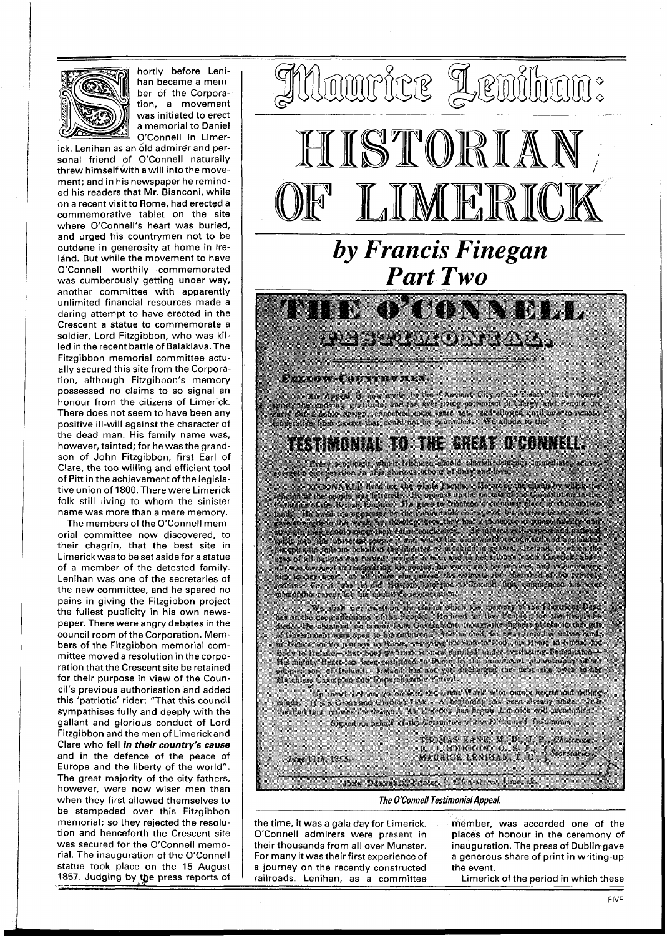

hortly before Lenihan became a member of the Corporation, a movement was initiated to erect a memorial to Daniel O'Connell in Limerick. Lenihan as an old admirer and per-

sonal friend of O'Connell naturally threw himself with a will into the movement; and in his newspaper he reminded his readers that Mr. Bianconi, while on a recent visit to Rome, had erected a commemorative tablet on the site where O'Connell's heart was buried, and urged his countrymen not to be outdone in generosity at home in Ireland. But while the movement to have O'Connell worthily commemorated was cumberously getting under way, another committee with apparently unlimited financial resources made a daring attempt to have erected in the Crescent a statue to commemorate a soldier, Lord Fitzgibbon, who was killed in the recent battle of Balaklava. The Fitzgibbon memorial committee actually secured this site from the Corporation, a!though Fitzgibbon's memory possessed no claims to so signal an honour from the citizens of Limerick. There does not seem to have been any positive ill-will against the character of the dead man. His family name was, however, tainted; for he was the grandson of John Fitzgibbon, first Earl of Clare, the too willing and efficient tool of Pitt in the achievement of the legislative union of 1800. There were Limerick folk still living to whom the sinister name was more than a mere memory.

The members of the O'Connell memorial committee now discovered, to their chagrin, that the best site in Limerick was to be set aside for a statue of a member of the detested family. Lenihan was one of the secretaries of the new committee, and he spared no pains in giving the Fitzgibbon project the fullest publicity in his own newspaper. There were angry debates in the council room of the Corporation. Members of the Fitzgibbon memorial committee moved a resolution in the corporation that the Crescent site be retained for their purpose in view of the Council's previous authorisation and added this 'patriotic' rider: "That this council sympathises fully and deeply with the gallant and glorious conduct of Lord Fitzgibbon and the men of Limerickand Clare who fell **in their country's cause**  and in the defence of the peace of Europe and the liberty of the world". The great majority of the city fathers, however, were now wiser men than when they first allowed themselves to be stampeded over this Fitzgibbon memorial; so they rejected the resolution and henceforth the Crescent site was secured for the O'Connell memorial. The inauguration of the O'Connell statue took place on the 15 August 1857. Judging by the press reports of



An Appeal is now made by the "Aucient City of the Treaty" to the honest applitu, the undying gratitude, and the over living patricular allowed received and People, to

## **TESTIMONIAL TO THE GREAT O'CONNELL.**

Every sentiment which Irishmen should cherish demands immediate, active,

energein co-operation in initiative in the whole Prople. He broke the channely which the control of control is channel in the property of the control of control of control of control of control of control of control of con menorable career for his country's reprostuiton.

memorable career for his country's regeneration.<br>We shall not dwell on the claims which the memory of the Historican Bead<br>has on the deep affections of the People, the first for the People in the People has<br>definite obtain

Up then! Let us go on with the Great Work with manly hearts and willing.<br>minds. It is a Great and Glocious Task. A beginning has been already made. It is<br>the End that crowns the design.. As Limerick has begun Limerick will Signed on behalf of the Committee of the O'Connell Testimonial,

THOMAS KANE, M. D., J. P., Chairman,<br>R. J. O'HIGGIN, O. S. P., P. Secretaries,<br>MAURICE LENIHAN, T. C., J. Secretaries, June 11th, 1855. Joux DARTNELL, Printer, I, Ellen street, Limerick.

## **The O'Connell Testimonial Appeal.**

the time, it was a gala day for Limerick. member, was accorded one of the O'Connell admirers were present in places of honour in the ceremony of O'Connell admirers were present in a journey on the recently constructed the event.<br>
railroads. Lenihan, as a committee Limeric rature took place on the 15 August a journey on the recently constructed the event.<br>1857. Judging by the press reports of railroads. Lenihan, as a committee Limerick of the period in which these - , . . . . . . . . . . . .

their thousands from all over Munster. inauguration. The press of Dublin-gave<br>For many it was their first experience of a generous share of print in writing-up a generous share of print in writing-up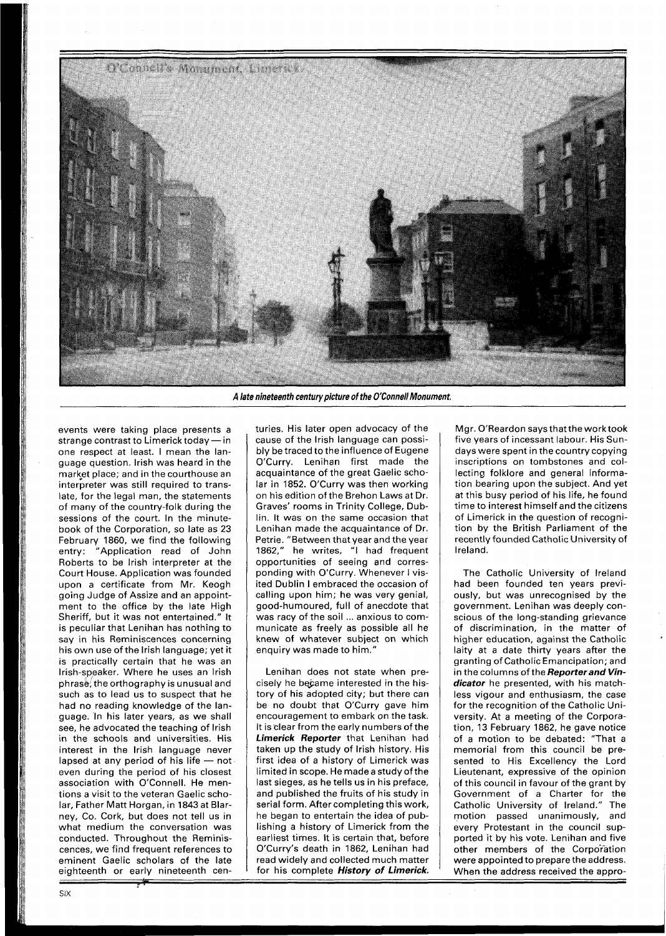

A late nineteenth century picture of the O'Connell Monument.

events were taking place presents a events were taking place presents a<br>strange contrast to Limerick today — in one respect at least. I mean the language question. lrish was heard in the market place; and in the courthouse an interpreter was still required to translate, for the legal man, the statements of many of the country-folk during the sessions of the court. In the minutebook of the Corporation, so late as 23 February 1860, we find the following entry: "Application read of John Roberts to be lrish interpreter at the Court House. Application was founded upon a certificate from Mr. Keogh going Judge of Assize and an appointment to the office by the late High Sheriff, but it was not entertained." It is peculiar that Lenihan has nothing to say in his Reminiscences concerning his own use of the lrish language; yet it is practically certain that he was an Irish-speaker. Where he uses an lrish  $phrase$ , the orthography is unusual and such as to lead us to suspect that he had no reading knowledge of the language. In his later years, as we shall see, he advocated the teaching of lrish in the schools and universities. His interest in the lrish language never lapsed at any period of his life  $-$  not even during the period of his closest association with O'Connell. He mentions a visit to the veteran Gaelic scholar, Father Matt Horgan, in 1843 at Blarney, Co. Cork, but does not tell us in what medium the conversation was conducted. Throughout the Reminiscences, we find frequent references to eminent Gaelic scholars of the late eighteenth or early nineteenth cen-

turies. His later open advocacy of the cause of the lrish language can possibly be traced to the influence of Eugene O'Curry. Lenihan first made the acquaintance of the great Gaelic scholar in 1852. O'Curry was then working on his edition of the Brehon Laws at Dr. Graves' rooms in Trinity College, Dublin. It was on the same occasion that Lenihan made the acquaintance of Dr. Petrie. "Between that year and the year 1862," he writes, "I had frequent opportunities of seeing and corresponding with O'Curry. Whenever I visited Dublin I embraced the occasion of calling upon him; he was very genial, good-humoured, full of anecdote that was racy of the soil ... anxious to communicate as freely as possible all he knew of whatever subject on which enquiry was made to him.'

Lenihan does not state when precisely he became interested in the history of his adopted city; but there can be no doubt that O'Curry gave him encouragement to embark on the task. It isclear from the early numbers of the **Limerick Reporter** that Lenihan had taken up the study of lrish history. His first idea of a history of Limerick was limited in scope. He made a study of the last sieges, as he tells us in his preface, and published the fruits of his study in serial form. After completing this work, he began to entertain the idea of publishing a history of Limerick from the earliest times. It is certain that, before O'Curry's death in 1862, Lenihan had read widely and collected much matter for his complete **History of Limerick.** 

Mgr. O'Reardon says that the work took five years of incessant labour. His Sundays were spent in the country copying inscriptions on tombstones and collecting folklore and general information bearing upon the subject. And yet at this busy period of his life, he found time to interest himself and the citizens of Limerick in the question of recognition by the British Parliament of the recently founded Catholic University of Ireland.

The Catholic University of Ireland had been founded ten years previously, but was unrecognised by the government. Lenihan was deeply conscious of the long-standing grievance of discrimination, in the matter of higher education, against the Catholic laity at a date thirty years after the granting of Catholic Emancipation; and in the columns of the **Reporter and Vindicator** he presented, with his matchless vigour and enthusiasm, the case for the recognition of the Catholic University. At a meeting of the Corporation, 13 February 1862, he gave notice of a motion to be debated: "That a memorial from this council be presented to His Excellency the Lord Lieutenant, expressive of the opinion of this council in favour of the grant by Government of a Charter for the Catholic University of Ireland." The motion passed unanimously, and every Protestant in the council supported it by his vote. Lenihan and five other members of the Corporation were appointed to prepare the address. When the address received the appro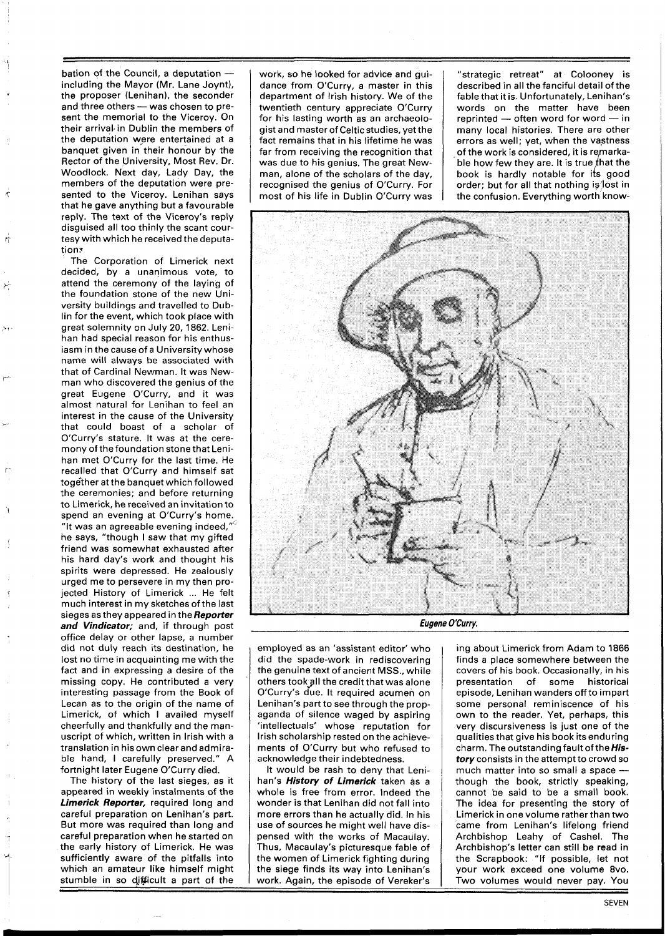bation of the Council, a deputation including the Mayor (Mr. Lane Joynt), the proposer (Lenihan), the seconder and three others - was chosen to present the memorial to the Viceroy. On their arrival in Dublin the members of the deputation were entertained at a banquet given in their honour by the Rector of the University, Most Rev. Dr. Woodlock. Next day, Lady Day, the members of the deputation were presented to the Viceroy. Lenihan says that he gave anything but a favourable reply. The text of the Viceroy's reply disguised a11 too thinly the scant courtesy with which he received the deputation?

The Corporation of Limerick next decided, by a unanimous vote, to attend the ceremony of the laying of the foundation stone of the new University buildings and travelled to Dublin for the event, which took place with great solemnity on July 20, 1862. Lenihan had special reason for his enthusiasm in the cause of a University whose name will always be associated with that of Cardinal Newman. It was Newman who discovered the genius of the great Eugene O'Curry, and it was almost natural for Lenihan to feel an interest in the cause of the University that could boast of a scholar of O'Curry's stature. It was at the ceremony of thefoundation stone that Lenihan met O'Curry for the last time. He recalled that O'Curry and himself sat tog6ther at the banquet which followed the ceremonies; and before returning to Limerick, he received an invitation to spend an evening at O'Curry's home. "It was an agreeable evening indeed,"' he says, "though I saw that my gifted friend was somewhat exhausted after his hard day's work and thought his spirits were depressed. He zealously urged me to persevere in my then projected History of Limerick ... He felt much interest in my sketches of the last sieges as they appeared in the **Reporter and Vindicator;** and, if through post office delay or other lapse, a number did not duly reach its destination, he lost no time in acquainting me with the fact and in expressing a desire of the missing copy. He contributed a very interesting passage from the Book of Lecan as to the origin of the name of Limerick, of which I availed myself cheerfully and thankfully and the manuscript of which, written in lrish with a translation in his own clear and admirable hand, I carefully preserved." A

fortnight later Eugene O'Curry died.<br>The history of the last sieges, as it appeared in weekly instalments of the **Limerick Reporter, required long and** careful preparation on Lenihan's part. But more was required than long and careful preparation when he started on<br>the early history of Limerick. He was sufficiently aware of the pitfalls into which an amateur like himself might work, so he looked for advice and guidance from O'Curry, a master in this department of lrish history. We of the twentieth century appreciate O'Curry for his lasting worth as an archaeologist and master of Celtic studies, yet the fact remains that in his lifetime he was far from receiving the recognition that was due to his genius. The great Newman, alone of the scholars of the day, recognised the genius of O'Curry. For most of his life in Dublin O'Curry was

"strategic retreat" at Colooney is described in all the fanciful detail of the fable that it is. Unfortunately, Lenihan's words on the matter have been rable that it is. Unfortunately, Lenihan's<br>words on the matter have been<br>reprinted — often word for word — in<br>many lead bistories. There are other many local histories. There are other errors as well; yet, when the vastness of the work is considered, it is re,markable how few they are. It is true that the book is hardly notable for its good order; but for all that nothing is lost in the confusion. Everything worth know-



Eugene O'Curry.

employed as an 'assistant editor' who did the spade-work in rediscovering the genuine text of ancient MSS., while others took all the credit that was alone O'Curry's due. It required acumen on Lenihan's part to see through the propaganda of silence waged by aspiring 'intellectuals' whose reputation for Irish scholarship rested on the achievements of O'Curry but who refused to acknowledge their indebtedness.

It would be rash to deny that Lenihan's **History of Limerick** taken as a whole is free from error. Indeed the wonder is that Lenihan did not fall into more errors than he actually did. In his use of sources he might well have dispensed with the works of Macaulay. Thus, Macaulay's picturesque fable of the women of Limerick fighting during the siege finds its way into Lenihan's stumble in so difficult a part of the  $\parallel$  work. Again, the episode of Vereker's

ing about Limerick from Adam to 1866 finds a place somewhere between the covers of his book. Occasionally, in his presentation of some historical episode, Lenihan wanders off to impart some personal reminiscence of his own to the reader. Yet, perhaps, this very discursiveness is just one of the qualities that give his book its enduring charm. The outstanding fault ofthe **History** consists in the attempt to crowd so much matter into so small a space  $-$  though the book, strictly speaking, cannot be said to be a small book. The idea for presenting the story of Limerick in one volume rather than two came from Lenihan's lifelong friend Archbishop Leahy of Cashel. The Archbishop's letter can still be read in the Scrapbook: "If possible, let not your work exceed one volume 8vo. Two volumes would never pay. You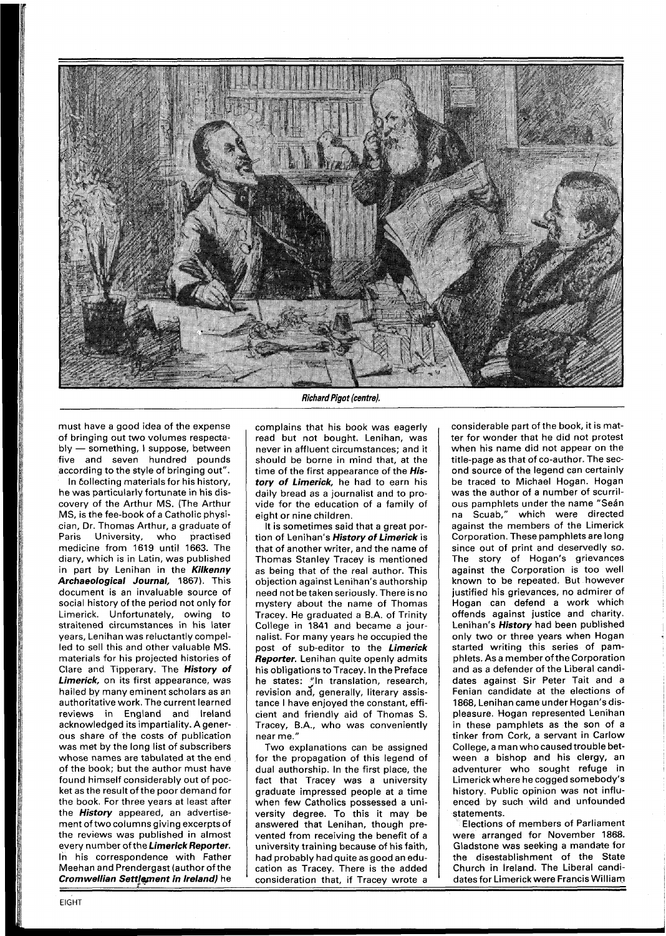

must have a good idea of the expense of bringing out two volumes respectably - something, I suppose, between five and seven hundred pounds according to the style of bringing out".

In collecting materials for his history, he was particularly fortunate in his discovery of the Arthur MS. (The Arthur MS, is the fee-book of a Catholic physician, Dr. Thomas Arthur, a graduate of Paris University, who practised medicine from **1619** until **1663.** The diary, which is in Latin, was published in part by Lenihan in the **Kilkenny Archaeological Journal, 1867).** This document is an invaluable source of social history of the period not only for Limerick. Unfortunately, owing to straitened circumstances in his later years, Lenihan was reluctantly compelled to sell this and other valuable MS. materials for his projected histories of Clare and Tipperary. The **History of Limerick,** on its first appearance, was hailed by many eminent scholars as an authoritative work. The current learned reviews in England and Ireland acknowledged its impartiality. Agenerous share of the costs of publication was met by the long list of subscribers whose names are tabulated at the end of the book; but the author must have found himself considerably out of pocket as the result of the poor demand for the book. For three years at least after the **History** appeared, an advertisement of two columns giving excerpts of the reviews was published in almost every number of the **Limerick Reporter.**  In his correspondence with Father Meehan and Prendergast (author of the **Cromwellian Settlement in Ireland)** he

## **Richard Pigot (centre).**

complains that his book was eagerly read but not bought. Lenihan, was never in affluent circumstances; and it should be borne in mind that, at the time of the first appearance of the **History of Limerick,** he had to earn his daily bread as a journalist and to provide for the education of a family of eight or nine children.

It is sometimes said that a great portion of Lenihan's **History of Limerick** is that of another writer, and the name of Thomas Stanley Tracey is mentioned as being that of the real author. This objection against Lenihan's authorship need not be taken seriously. There is no mystery about the name of Thomas Tracey. He graduated a B.A. of Trinity College in **1841** and became a journalist. For many years he occupied the post of sub-editor to the **Limerick Reporter.** Lenihan quite openly admits his obligations to Tracey. In the Preface he states: "In translation, research, revision and, generally, literary assistance I have enjoyed the constant, efficient and friendly aid of Thomas S. Tracey, B.A., who was conveniently near me."

Two explanations can be assigned for the propagation of this legend of dual authorship. In the first place, the fact that Tracey was a university graduate impressed people at a time when few Catholics possessed a university degree. To this it may be answered that Lenihan, though prevented from receiving the benefit of a university training because of his faith, had probably had quite asgood an education as Tracey. There is the added consideration that, if Tracev wrote a

considerable part of the book, it is matter for wonder that he did not protest when his name did not appear on the title-page as that of co-author. The second source of the legend can certainly be traced to Michael Hogan. Hogan was the author of a number of scurrilous pamphlets under the name "Seán na Scuab," which were directed against the members of the Limerick Corporation. These pamphlets are long since out of print and deservedly so. The story of Hogan's grievances against the Corporation is too well known to be repeated. But however justified his grievances, no admirer of Hogan can defend a work which offends against justice and charity. Lenihan's **History** had been published only two or three years when Hogan started writing this series of pamphlets. As a member of the Corporation and as a defender of the Liberal candidates against Sir Peter Tait and a Fenian candidate at the elections of **1868,** Lenihan came under Hogan's displeasure. Hogan represented Lenihan in these pamphlets as the son of a tinker from Cork, a servant in Carlow College, a man who caused trouble between a bishop and his clergy, an adventurer who sought refuge in Limerick where he cogged somebody's history. Public opinion was not influenced by such wild and unfounded statements.

Elections of members of Parliament were arranged for November **1868.**  Gladstone was seeking a mandate for the disestablishment of the State Church in Ireland. The Liberal candidates for Limerick were Francis William **i** -